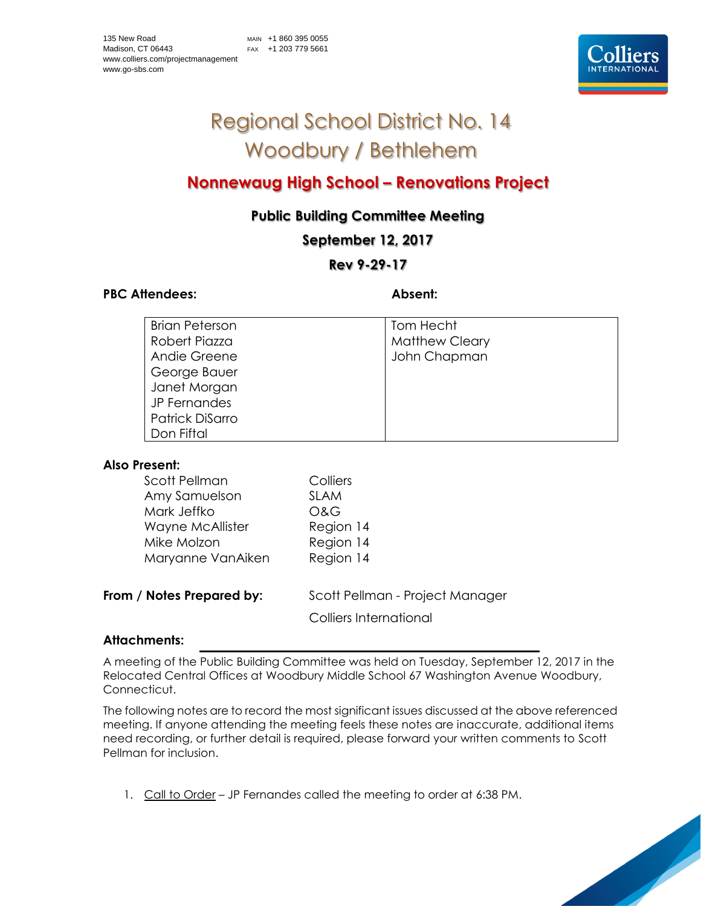# Regional School District No. 14 Woodbury / Bethlehem

## **Nonnewaug High School – Renovations Project**

### **Public Building Committee Meeting**

**September 12, 2017**

#### **Rev 9-29-17**

#### PBC Attendees: **Absent: Absent:**

| <b>Brian Peterson</b> | Tom Hecht             |
|-----------------------|-----------------------|
| Robert Piazza         | <b>Matthew Cleary</b> |
| Andie Greene          | John Chapman          |
| George Bauer          |                       |
| Janet Morgan          |                       |
| JP Fernandes          |                       |
| Patrick DiSarro       |                       |
| Don Fiftal            |                       |

#### **Also Present:**

| Scott Pellman<br>Amy Samuelson | Colliers<br><b>SLAM</b>         |
|--------------------------------|---------------------------------|
| Mark Jeffko                    | O&G                             |
| Wayne McAllister               | Region 14                       |
| Mike Molzon                    | Region 14                       |
| Maryanne VanAiken              | Region 14                       |
| From / Notes Prepared by:      | Scott Pellman - Project Manager |
|                                |                                 |

Colliers International

#### **Attachments:**

A meeting of the Public Building Committee was held on Tuesday, September 12, 2017 in the Relocated Central Offices at Woodbury Middle School 67 Washington Avenue Woodbury, Connecticut.

The following notes are to record the most significant issues discussed at the above referenced meeting. If anyone attending the meeting feels these notes are inaccurate, additional items need recording, or further detail is required, please forward your written comments to Scott Pellman for inclusion.

1. Call to Order – JP Fernandes called the meeting to order at 6:38 PM.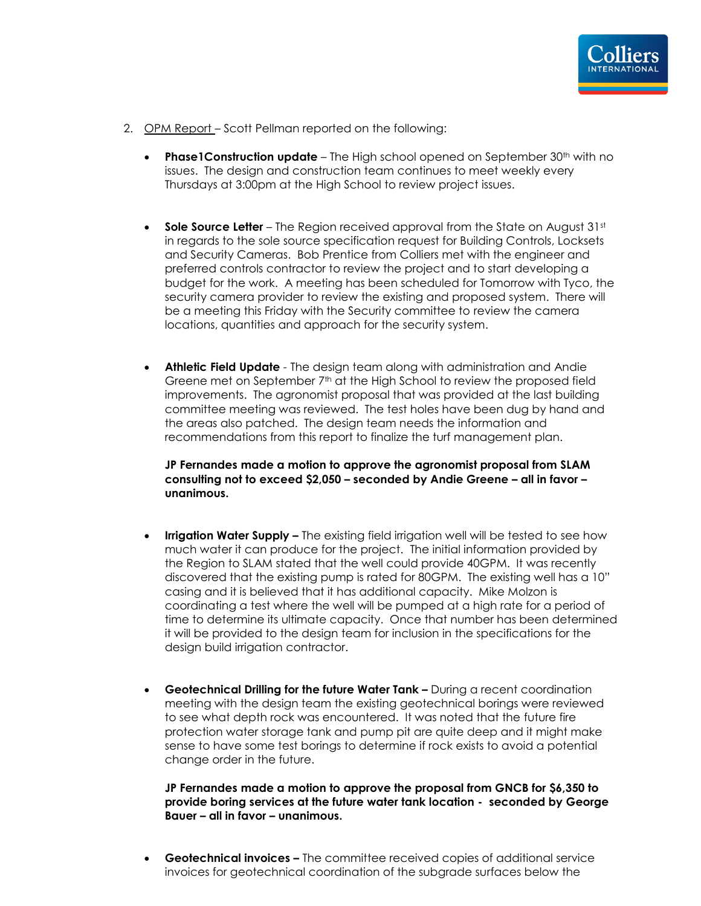

- 2. OPM Report Scott Pellman reported on the following:
	- **Phase1Construction update** The High school opened on September 30<sup>th</sup> with no issues. The design and construction team continues to meet weekly every Thursdays at 3:00pm at the High School to review project issues.
	- **Sole Source Letter** The Region received approval from the State on August 31st in regards to the sole source specification request for Building Controls, Locksets and Security Cameras. Bob Prentice from Colliers met with the engineer and preferred controls contractor to review the project and to start developing a budget for the work. A meeting has been scheduled for Tomorrow with Tyco, the security camera provider to review the existing and proposed system. There will be a meeting this Friday with the Security committee to review the camera locations, quantities and approach for the security system.
	- **Athletic Field Update** The design team along with administration and Andie Greene met on September 7<sup>th</sup> at the High School to review the proposed field improvements. The agronomist proposal that was provided at the last building committee meeting was reviewed. The test holes have been dug by hand and the areas also patched. The design team needs the information and recommendations from this report to finalize the turf management plan.

**JP Fernandes made a motion to approve the agronomist proposal from SLAM consulting not to exceed \$2,050 – seconded by Andie Greene – all in favor – unanimous.**

- **Irrigation Water Supply –** The existing field irrigation well will be tested to see how much water it can produce for the project. The initial information provided by the Region to SLAM stated that the well could provide 40GPM. It was recently discovered that the existing pump is rated for 80GPM. The existing well has a 10" casing and it is believed that it has additional capacity. Mike Molzon is coordinating a test where the well will be pumped at a high rate for a period of time to determine its ultimate capacity. Once that number has been determined it will be provided to the design team for inclusion in the specifications for the design build irrigation contractor.
- **Geotechnical Drilling for the future Water Tank –** During a recent coordination meeting with the design team the existing geotechnical borings were reviewed to see what depth rock was encountered. It was noted that the future fire protection water storage tank and pump pit are quite deep and it might make sense to have some test borings to determine if rock exists to avoid a potential change order in the future.

**JP Fernandes made a motion to approve the proposal from GNCB for \$6,350 to provide boring services at the future water tank location - seconded by George Bauer – all in favor – unanimous.**

• **Geotechnical invoices –** The committee received copies of additional service invoices for geotechnical coordination of the subgrade surfaces below the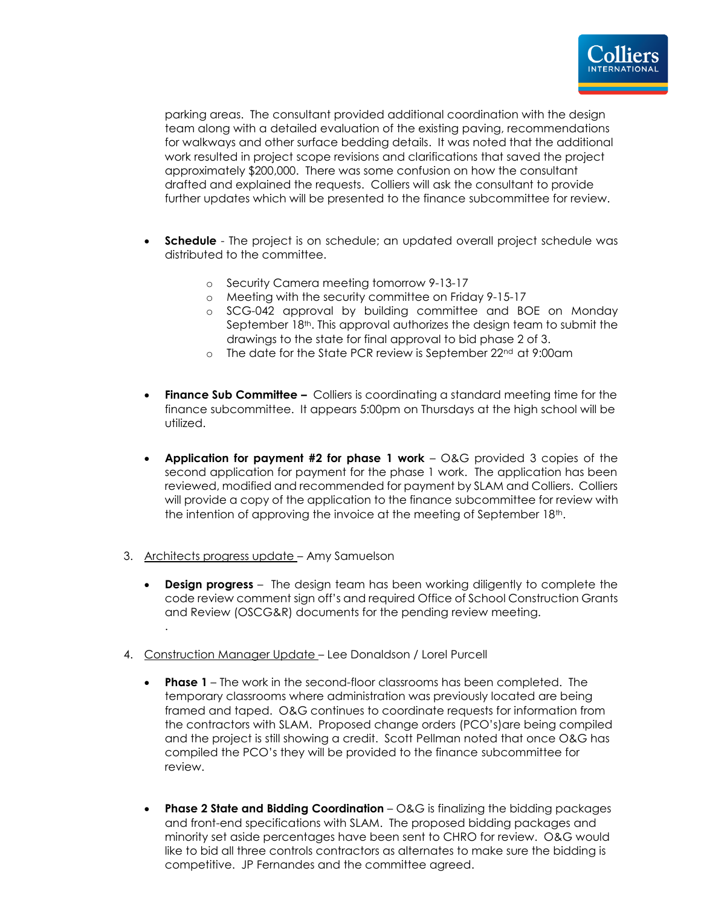

parking areas. The consultant provided additional coordination with the design team along with a detailed evaluation of the existing paving, recommendations for walkways and other surface bedding details. It was noted that the additional work resulted in project scope revisions and clarifications that saved the project approximately \$200,000. There was some confusion on how the consultant drafted and explained the requests. Colliers will ask the consultant to provide further updates which will be presented to the finance subcommittee for review.

- **Schedule** The project is on schedule; an updated overall project schedule was distributed to the committee.
	- o Security Camera meeting tomorrow 9-13-17
	- o Meeting with the security committee on Friday 9-15-17
	- o SCG-042 approval by building committee and BOE on Monday September 18<sup>th</sup>. This approval authorizes the design team to submit the drawings to the state for final approval to bid phase 2 of 3.
	- o The date for the State PCR review is September 22nd at 9:00am
- **Finance Sub Committee –** Colliers is coordinating a standard meeting time for the finance subcommittee. It appears 5:00pm on Thursdays at the high school will be utilized.
- **Application for payment #2 for phase 1 work** O&G provided 3 copies of the second application for payment for the phase 1 work. The application has been reviewed, modified and recommended for payment by SLAM and Colliers. Colliers will provide a copy of the application to the finance subcommittee for review with the intention of approving the invoice at the meeting of September 18th.
- 3. Architects progress update Amy Samuelson
	- **Design progress** The design team has been working diligently to complete the code review comment sign off's and required Office of School Construction Grants and Review (OSCG&R) documents for the pending review meeting. .
- 4. Construction Manager Update Lee Donaldson / Lorel Purcell
	- **Phase 1**  The work in the second-floor classrooms has been completed. The temporary classrooms where administration was previously located are being framed and taped. O&G continues to coordinate requests for information from the contractors with SLAM. Proposed change orders (PCO's)are being compiled and the project is still showing a credit. Scott Pellman noted that once O&G has compiled the PCO's they will be provided to the finance subcommittee for review.
	- **Phase 2 State and Bidding Coordination** O&G is finalizing the bidding packages and front-end specifications with SLAM. The proposed bidding packages and minority set aside percentages have been sent to CHRO for review. O&G would like to bid all three controls contractors as alternates to make sure the bidding is competitive. JP Fernandes and the committee agreed.